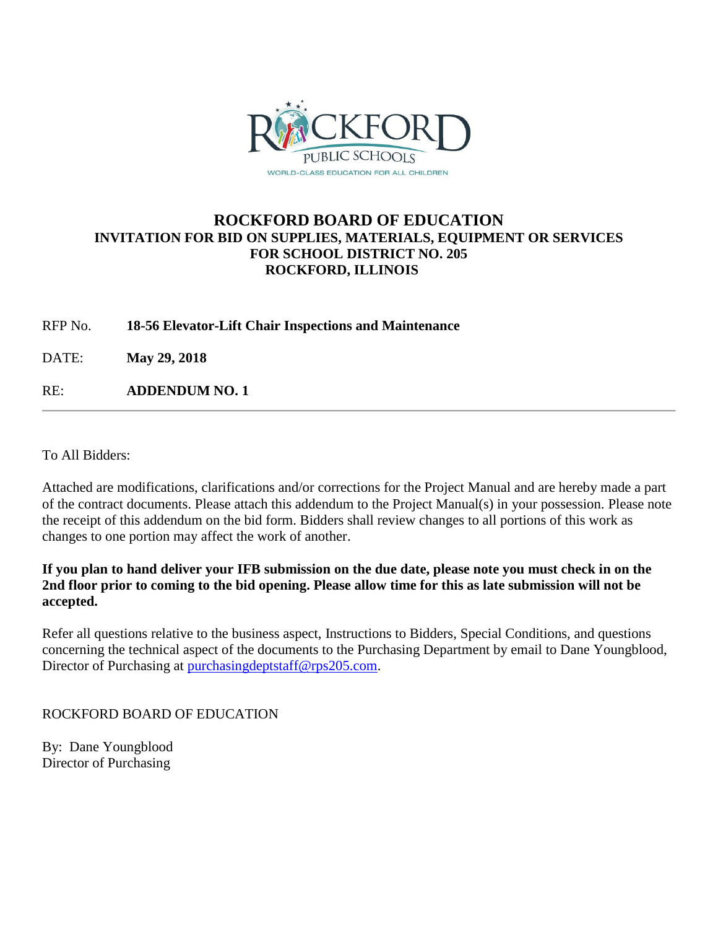

## **ROCKFORD BOARD OF EDUCATION INVITATION FOR BID ON SUPPLIES, MATERIALS, EQUIPMENT OR SERVICES FOR SCHOOL DISTRICT NO. 205 ROCKFORD, ILLINOIS**

RFP No. **18-56 Elevator-Lift Chair Inspections and Maintenance**

DATE: **May 29, 2018**

RE: **ADDENDUM NO. 1**

To All Bidders:

Attached are modifications, clarifications and/or corrections for the Project Manual and are hereby made a part of the contract documents. Please attach this addendum to the Project Manual(s) in your possession. Please note the receipt of this addendum on the bid form. Bidders shall review changes to all portions of this work as changes to one portion may affect the work of another.

**If you plan to hand deliver your IFB submission on the due date, please note you must check in on the 2nd floor prior to coming to the bid opening. Please allow time for this as late submission will not be accepted.**

Refer all questions relative to the business aspect, Instructions to Bidders, Special Conditions, and questions concerning the technical aspect of the documents to the Purchasing Department by email to Dane Youngblood, Director of Purchasing at [purchasingdeptstaff@rps205.com.](mailto:purchasingdeptstaff@rps205.com)

## ROCKFORD BOARD OF EDUCATION

By: Dane Youngblood Director of Purchasing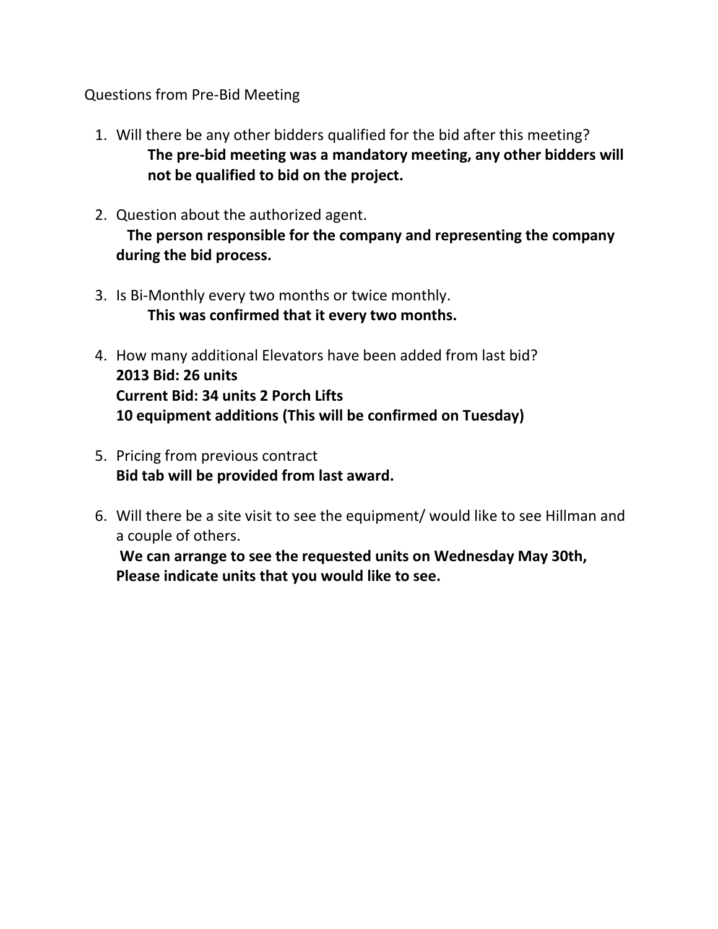## Questions from Pre-Bid Meeting

- 1. Will there be any other bidders qualified for the bid after this meeting? **The pre-bid meeting was a mandatory meeting, any other bidders will not be qualified to bid on the project.**
- 2. Question about the authorized agent. **The person responsible for the company and representing the company during the bid process.**
- 3. Is Bi-Monthly every two months or twice monthly. **This was confirmed that it every two months.**
- 4. How many additional Elevators have been added from last bid? **2013 Bid: 26 units Current Bid: 34 units 2 Porch Lifts 10 equipment additions (This will be confirmed on Tuesday)**
- 5. Pricing from previous contract **Bid tab will be provided from last award.**
- 6. Will there be a site visit to see the equipment/ would like to see Hillman and a couple of others.

**We can arrange to see the requested units on Wednesday May 30th, Please indicate units that you would like to see.**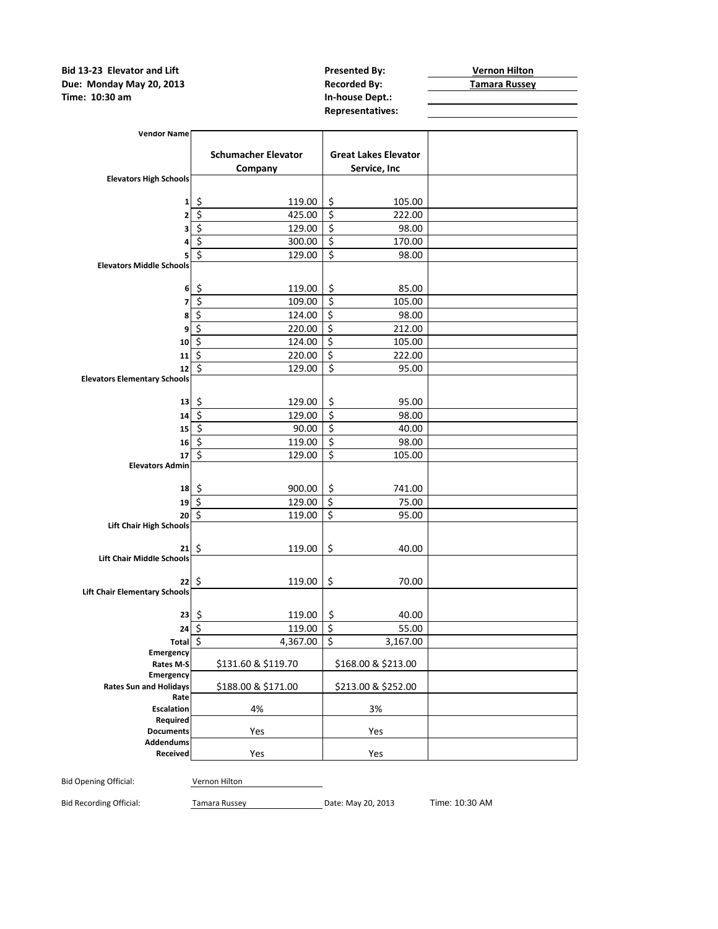**Bid 13-23 Elevator and Lift Consumersed By:** Presented By: **Presented By: Presented By: Presented By: Presented By: Presented By: Presented By: Presented By: Presented By: Presented By: Presented By: Due: Monday May 20, 2013 Recorded By: Time: 10:30 am Recorded By: Recorded By: Recorded By: The: Russey Time: 10:30 am** 

**Representatives:**

|                                        | <b>Schumacher Elevator</b>           |                        | <b>Great Lakes Elevator</b> |  |
|----------------------------------------|--------------------------------------|------------------------|-----------------------------|--|
| <b>Elevators High Schools</b>          | Company                              |                        | Service, Inc                |  |
|                                        |                                      |                        |                             |  |
| $\mathbf{1}$                           | \$<br>119.00<br>\$                   | \$<br>$\overline{\xi}$ | 105.00                      |  |
| 2                                      | 425.00<br>$\overline{\xi}$<br>129.00 | $\overline{\xi}$       | 222.00<br>98.00             |  |
| 3                                      | \$<br>300.00                         | \$                     | 170.00                      |  |
| 4<br>5                                 | \$<br>129.00                         | \$                     | 98.00                       |  |
| <b>Elevators Middle Schools</b>        |                                      |                        |                             |  |
| 6 <sup>1</sup>                         | \$<br>119.00                         | \$                     | 85.00                       |  |
| $\overline{\phantom{a}}$               | \$<br>109.00                         | \$                     | 105.00                      |  |
| 8                                      | \$<br>124.00                         | \$                     | 98.00                       |  |
| 9                                      | \$<br>220.00                         | \$                     | 212.00                      |  |
| 10                                     | $\overline{\mathcal{S}}$<br>124.00   | \$                     | 105.00                      |  |
| 11                                     | $\overline{\mathbf{S}}$<br>220.00    | \$                     | 222.00                      |  |
| 12                                     | \$<br>129.00                         | \$                     | 95.00                       |  |
| <b>Elevators Elementary Schools</b>    |                                      |                        |                             |  |
| 13                                     | \$<br>129.00                         | \$                     | 95.00                       |  |
| 14                                     | \$<br>129.00                         | \$                     | 98.00                       |  |
| 15                                     | \$<br>90.00                          | \$                     | 40.00                       |  |
| 16                                     | \$<br>119.00                         | \$                     | 98.00                       |  |
| 17                                     | \$<br>129.00                         | $\overline{\xi}$       | 105.00                      |  |
| <b>Elevators Admin</b>                 |                                      |                        |                             |  |
| 18                                     | \$<br>900.00                         | \$                     | 741.00                      |  |
| 19                                     | \$<br>129.00                         | \$                     | 75.00                       |  |
| 20                                     | \$<br>119.00                         | \$                     | 95.00                       |  |
| <b>Lift Chair High Schools</b>         |                                      |                        |                             |  |
|                                        |                                      |                        |                             |  |
| 21<br><b>Lift Chair Middle Schools</b> | \$<br>119.00                         | \$                     | 40.00                       |  |
|                                        |                                      |                        |                             |  |
| 22                                     | \$<br>119.00                         | \$                     | 70.00                       |  |
| <b>Lift Chair Elementary Schools</b>   |                                      |                        |                             |  |
| 23                                     | \$<br>119.00                         | \$                     | 40.00                       |  |
| 24                                     | \$<br>119.00                         | \$                     | 55.00                       |  |
| <b>Total</b>                           | \$<br>4,367.00                       | \$                     | 3,167.00                    |  |
| Emergency                              |                                      |                        |                             |  |
| Rates M-S<br>Emergency                 | \$131.60 & \$119.70                  |                        | \$168.00 & \$213.00         |  |
| <b>Rates Sun and Holidays</b>          | \$188.00 & \$171.00                  |                        | \$213.00 & \$252.00         |  |
| Rate                                   |                                      |                        |                             |  |
| <b>Escalation</b>                      | 4%                                   |                        | 3%                          |  |
| Required<br><b>Documents</b>           |                                      |                        |                             |  |
| <b>Addendums</b>                       | Yes                                  |                        | Yes                         |  |
| Received                               | Yes                                  |                        | Yes                         |  |
|                                        |                                      |                        |                             |  |

Bid Recording Official: Tamara Russey Date: May 20, 2013 Time: 10:30 AM